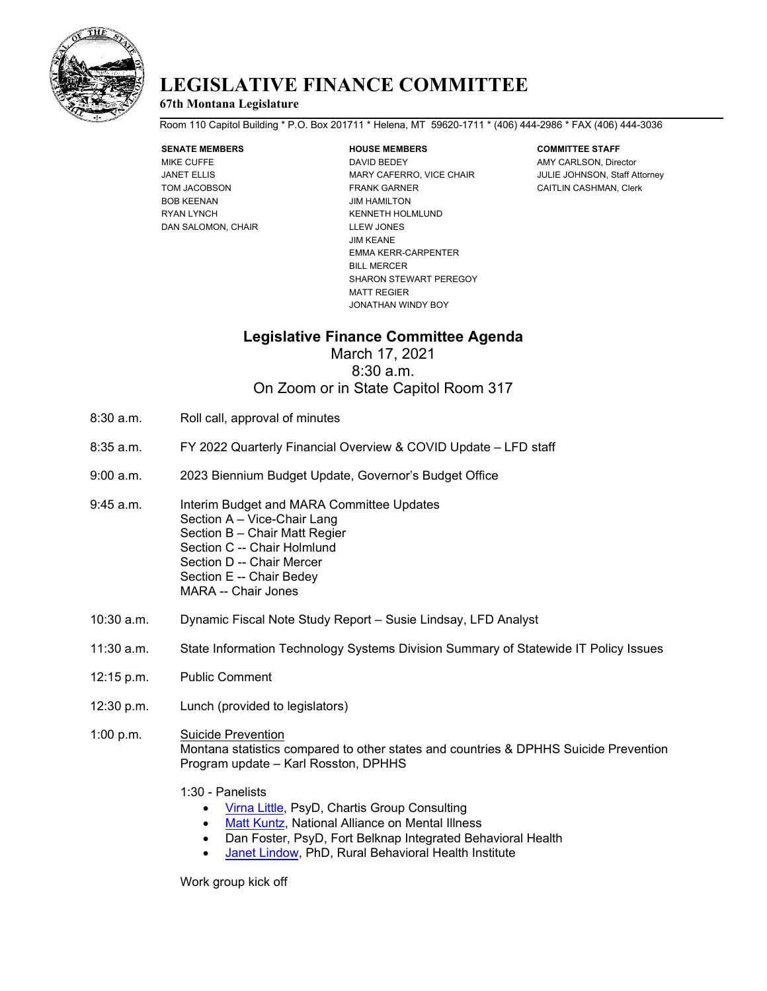

## **LEGISLATIVE FINANCE COMMITTEE**

### **67th Montana Legislature**

Room 110 Capitol Building \* P.O. Box 201711 \* Helena, MT 59620-1711 \* (406) 444-2986 \* FAX (406) 444-3036

# **SENATE MEMBERS HOUSE MEMBERS COMMITTEE STAFF**

BOB KEENAN JIM HAMILTON RYAN LYNCH KENNETH HOLMLUND DAN SALOMON, CHAIR LLEW JONES

MIKE CUFFE **DAVID BEDEY** DAVID BEDEY AMY CARLSON, Director JANET ELLIS **ARRY CAFERS AND MARY CAFERS AND ACCIDENT ATTACT ATTACT ATTACT ATTACTS** JULIE JOHNSON, Staff Attorney TOM JACOBSON FRANK GARNER CAITLIN CASHMAN, Clerk JIM KEANE EMMA KERR-CARPENTER BILL MERCER SHARON STEWART PEREGOY MATT REGIER JONATHAN WINDY BOY

### **Legislative Finance Committee Agenda**

March 17, 2021 8:30 a.m. On Zoom or in State Capitol Room 317

- 8:30 a.m. Roll call, approval of minutes
- 8:35 a.m. FY 2022 Quarterly Financial Overview & COVID Update LFD staff
- 9:00 a.m. 2023 Biennium Budget Update, Governor's Budget Office
- 9:45 a.m. Interim Budget and MARA Committee Updates Section A – Vice-Chair Lang Section B – Chair Matt Regier Section C -- Chair Holmlund Section D -- Chair Mercer Section E -- Chair Bedey MARA -- Chair Jones
- 10:30 a.m. Dynamic Fiscal Note Study Report Susie Lindsay, LFD Analyst
- 11:30 a.m. State Information Technology Systems Division Summary of Statewide IT Policy Issues
- 12:15 p.m. Public Comment
- 12:30 p.m. Lunch (provided to legislators)
- 1:00 p.m. Suicide Prevention Montana statistics compared to other states and countries & DPHHS Suicide Prevention Program update – Karl Rosston, DPHHS
	- 1:30 Panelists
		- [Virna Little,](https://www.chartis.com/leadership/virna-little-psyd-lcsw-r-sap-ccm) PsyD, Chartis Group Consulting
		- **Matt [Kuntz,](https://namimt.org/about-nami-montana/matt-kuntz/) National Alliance on Mental Illness**
		- Dan Foster, PsyD, Fort Belknap Integrated Behavioral Health
		- **Janet [Lindow,](https://www.rbhi.org/staff) PhD, Rural Behavioral Health Institute**

Work group kick off